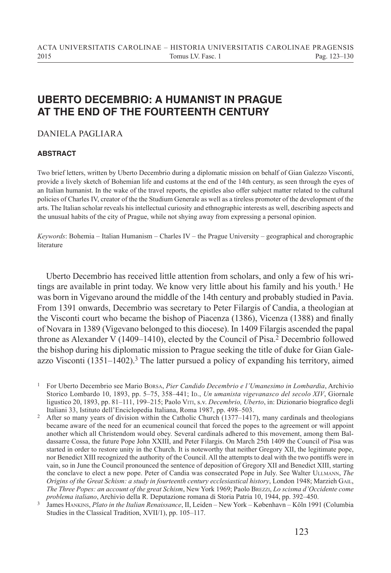## **UBERTO DECEMBRIO: A HUMANIST IN PRAGUE AT THE END OF THE FOURTEENTH CENTURY**

## DANIELA PAGLIARA

## **ABSTRACT**

Two brief letters, written by Uberto Decembrio during a diplomatic mission on behalf of Gian Galezzo Visconti, provide a lively sketch of Bohemian life and customs at the end of the 14th century, as seen through the eyes of an Italian humanist. In the wake of the travel reports, the epistles also offer subject matter related to the cultural policies of Charles IV, creator of the the Studium Generale as well as a tireless promoter of the development of the arts. The Italian scholar reveals his intellectual curiosity and ethnographic interests as well, describing aspects and the unusual habits of the city of Prague, while not shying away from expressing a personal opinion.

*Keywords*: Bohemia – Italian Humanism – Charles IV – the Prague University – geographical and chorographic literature

Uberto Decembrio has received little attention from scholars, and only a few of his writings are available in print today. We know very little about his family and his youth.<sup>1</sup> He was born in Vigevano around the middle of the 14th century and probably studied in Pavia. From 1391 onwards, Decembrio was secretary to Peter Filargis of Candia, a theologian at the Visconti court who became the bishop of Piacenza (1386), Vicenza (1388) and finally of Novara in 1389 (Vigevano belonged to this diocese). In 1409 Filargis ascended the papal throne as Alexander V (1409–1410), elected by the Council of Pisa.<sup>2</sup> Decembrio followed the bishop during his diplomatic mission to Prague seeking the title of duke for Gian Galeazzo Visconti  $(1351-1402)$ .<sup>3</sup> The latter pursued a policy of expanding his territory, aimed

<sup>1</sup> For Uberto Decembrio see Mario Borsa, *Pier Candido Decembrio e l'Umanesimo in Lombardia*, Archivio Storico Lombardo 10, 1893, pp. 5–75, 358–441; Ip., *Un umanista vigevanasco del secolo XIV*, Giornale ligustico 20, 1893, pp. 81–111, 199–215; Paolo Viti, s.v. *Decembrio, Uberto*, in: Dizionario biografico degli Italiani 33, Istituto dell'Enciclopedia Italiana, Roma 1987, pp. 498–503.

<sup>&</sup>lt;sup>2</sup> After so many years of division within the Catholic Church (1377–1417), many cardinals and theologians became aware of the need for an ecumenical council that forced the popes to the agreement or will appoint another which all Christendom would obey. Several cardinals adhered to this movement, among them Baldassarre Cossa, the future Pope John XXIII, and Peter Filargis. On March 25th 1409 the Council of Pisa was started in order to restore unity in the Church. It is noteworthy that neither Gregory XII, the legitimate pope, nor Benedict XIII recognized the authority of the Council. All the attempts to deal with the two pontiffs were in vain, so in June the Council pronounced the sentence of deposition of Gregory XII and Benedict XIII, starting the conclave to elect a new pope. Peter of Candia was consecrated Pope in July. See Walter Ullmann, *The Origins of the Great Schism: a study in fourteenth century ecclesiastical history*, London 1948; Marzieh Gail, *The Three Popes: an account of the great Schism*, New York 1969; Paolo Brezzi, *Lo scisma d'Occidente come problema italiano*, Archivio della R. Deputazione romana di Storia Patria 10, 1944, pp. 392–450.

<sup>3</sup> James Hankins, *Plato in the Italian Renaissance*, II, Leiden – New York – København – Köln 1991 (Columbia Studies in the Classical Tradition, XVII/1), pp. 105–117.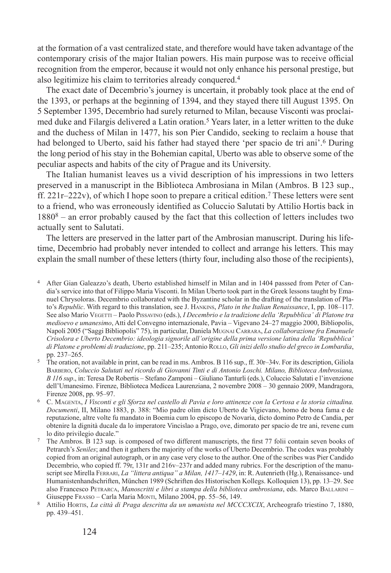at the formation of a vast centralized state, and therefore would have taken advantage of the contemporary crisis of the major Italian powers. His main purpose was to receive official recognition from the emperor, because it would not only enhance his personal prestige, but also legitimize his claim to territories already conquered.4

The exact date of Decembrio's journey is uncertain, it probably took place at the end of the 1393, or perhaps at the beginning of 1394, and they stayed there till August 1395. On 5 September 1395, Decembrio had surely returned to Milan, because Visconti was proclaimed duke and Filargis delivered a Latin oration.5 Years later, in a letter written to the duke and the duchess of Milan in 1477, his son Pier Candido, seeking to reclaim a house that had belonged to Uberto, said his father had stayed there 'per spacio de tri ani'.6 During the long period of his stay in the Bohemian capital, Uberto was able to observe some of the peculiar aspects and habits of the city of Prague and its University.

The Italian humanist leaves us a vivid description of his impressions in two letters preserved in a manuscript in the Biblioteca Ambrosiana in Milan (Ambros. B 123 sup., ff.  $221r-222v$ , of which I hope soon to prepare a critical edition.<sup>7</sup> These letters were sent to a friend, who was erroneously identified as Coluccio Salutati by Attilio Hortis back in 18808 – an error probably caused by the fact that this collection of letters includes two actually sent to Salutati.

The letters are preserved in the latter part of the Ambrosian manuscript. During his lifetime, Decembrio had probably never intended to collect and arrange his letters. This may explain the small number of these letters (thirty four, including also those of the recipients),

- <sup>5</sup> The oration, not available in print, can be read in ms. Ambros. B 116 sup., ff. 30r–34v. For its description, Giliola Barbero, *Coluccio Salutati nel ricordo di Giovanni Tinti e di Antonio Loschi. Milano, Biblioteca Ambrosiana, B 116 sup*., in: Teresa De Robertis – Stefano Zamponi – Giuliano Tanturli (eds.), Coluccio Salutati e l'invenzione dell'Umanesimo. Firenze, Biblioteca Medicea Laurenziana, 2 novembre 2008 – 30 gennaio 2009, Mandragora, Firenze 2008, pp. 95–97.
- <sup>6</sup> C. Magenta, *I Visconti e gli Sforza nel castello di Pavia e loro attinenze con la Certosa e la storia cittadina. Documenti*, II, Milano 1883, p. 388: "Mio padre olim dicto Uberto de Vigievano, homo de bona fama e de reputazione, altre volte fu mandato in Boemia cum lo episcopo de Novaria, dicto domino Petro de Candia, per obtenire la dignità ducale da lo imperatore Vincislao a Prago, ove, dimorato per spacio de tre ani, revene cum lo dito privilegio ducale."
- <sup>7</sup> The Ambros. B 123 sup. is composed of two different manuscripts, the first 77 folii contain seven books of Petrarch's *Seniles*; and then it gathers the majority of the works of Uberto Decembrio. The codex was probably copied from an original autograph, or in any case very close to the author. One of the scribes was Pier Candido Decembrio, who copied ff. 79r, 131r and 216v–237r and added many rubrics. For the description of the manuscript see Mirella Ferrari, *La "littera antiqua" a Milan, 1417–1429*, in: R. Autenrieth (Hg.), Renaissance- und Humanistenhandschriften, München 1989 (Schriften des Historischen Kollegs. Kolloquien 13), pp. 13–29. See also Francesco Petrarca, *Manoscritti e libri a stampa della biblioteca ambrosiana*, eds. Marco Ballarini – Giuseppe Frasso - Carla Maria Monti, Milano 2004, pp. 55-56, 149.

<sup>4</sup> After Gian Galeazzo's death, Uberto established himself in Milan and in 1404 passsed from Peter of Candia's service into that of Filippo Maria Visconti. In Milan Uberto took part in the Greek lessons taught by Emanuel Chrysoloras. Decembrio collaborated with the Byzantine scholar in the drafting of the translation of Plato's *Republic*. With regard to this translation, see J. Hankins, *Plato in the Italian Renaissance*, I, pp. 108–117. See also Mario Vegetti – Paolo Pissavino (eds.), *I Decembrio e la tradizione della 'Repubblica' di Platone tra medioevo e umanesimo*, Atti del Convegno internazionale, Pavia – Vigevano 24–27 maggio 2000, Bibliopolis, Napoli 2005 ("Saggi Bibliopolis" 75), in particular, Daniela Mugnai Carrara, *La collaborazione fra Emanuele Crisolora e Uberto Decembrio: ideologia signorile all'origine della prima versione latina della 'Repubblica' di Platone e problemi di traduzione*, pp. 211–235; Antonio Rollo, *Gli inizi dello studio del greco in Lombardia*, pp. 237–265.

<sup>8</sup> Attilio Hortis, *La città di Praga descritta da un umanista nel MCCCXCIX*, Archeografo triestino 7, 1880, pp. 439–451.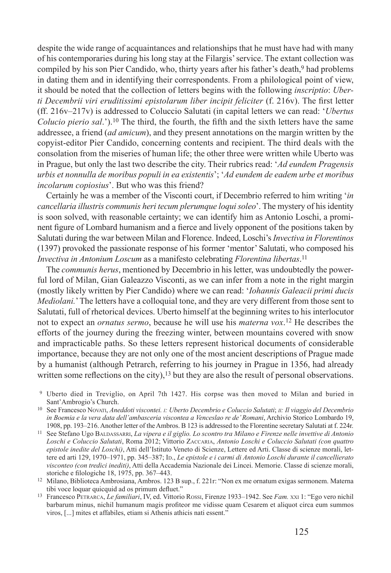despite the wide range of acquaintances and relationships that he must have had with many of his contemporaries during his long stay at the Filargis' service. The extant collection was compiled by his son Pier Candido, who, thirty years after his father's death.<sup>9</sup> had problems in dating them and in identifying their correspondents. From a philological point of view, it should be noted that the collection of letters begins with the following *inscriptio*: *Uberti Decembrii viri eruditissimi epistolarum liber incipit feliciter* (f. 216v). The first letter (ff. 216v–217v) is addressed to Coluccio Salutati (in capital letters we can read: '*Ubertus Colucio pierio sal*.').10 The third, the fourth, the fifth and the sixth letters have the same addressee, a friend (*ad amicum*), and they present annotations on the margin written by the copyist-editor Pier Candido, concerning contents and recipient. The third deals with the consolation from the miseries of human life; the other three were written while Uberto was in Prague, but only the last two describe the city. Their rubrics read: '*Ad eundem Pragensis urbis et nonnulla de moribus populi in ea existentis*'; '*Ad eundem de eadem urbe et moribus incolarum copiosius*'. But who was this friend?

Certainly he was a member of the Visconti court, if Decembrio referred to him writing '*in cancellaria illustris communis heri tecum plerumque loqui soleo*'. The mystery of his identity is soon solved, with reasonable certainty; we can identify him as Antonio Loschi, a prominent figure of Lombard humanism and a fierce and lively opponent of the positions taken by Salutati during the war between Milan and Florence. Indeed, Loschi's*Invectiva in Florentinos* (1397) provoked the passionate response of his former 'mentor' Salutati, who composed his *Invectiva in Antonium Loscum* as a manifesto celebrating *Florentina libertas*. 11

The *communis herus*, mentioned by Decembrio in his letter, was undoubtedly the powerful lord of Milan, Gian Galeazzo Visconti, as we can infer from a note in the right margin (mostly likely written by Pier Candido) where we can read: '*Iohannis Galeacii primi ducis Mediolani.*' The letters have a colloquial tone, and they are very different from those sent to Salutati, full of rhetorical devices. Uberto himself at the beginning writes to his interlocutor not to expect an *ornatus sermo*, because he will use his *materna vox*. 12 He describes the efforts of the journey during the freezing winter, between mountains covered with snow and impracticable paths. So these letters represent historical documents of considerable importance, because they are not only one of the most ancient descriptions of Prague made by a humanist (although Petrarch, referring to his journey in Prague in 1356, had already written some reflections on the city),  $13$  but they are also the result of personal observations.

- <sup>9</sup> Uberto died in Treviglio, on April 7th 1427. His corpse was then moved to Milan and buried in Sant'Ambrogio's Church.
- <sup>10</sup> See Francesco Novati, *Aneddoti viscontei. i: Uberto Decembrio e Coluccio Salutati*; *ii: Il viaggio del Decembrio in Boemia e la vera data dell'ambasceria viscontea a Venceslao re de' Romani*, Archivio Storico Lombardo 19, 1908, pp. 193–216. Another letter of the Ambros. B 123 is addressed to the Florentine secretary Salutati at f. 224r.
- <sup>11</sup> See Stefano Ugo BALDASSARRI, *La vipera e il giglio. Lo scontro tra Milano e Firenze nelle invettive di Antonio Loschi e Coluccio Salutati*, Roma 2012; Vittorio Zaccaria, *Antonio Loschi e Coluccio Salutati (con quattro epistole inedite del Loschi)*, Atti dell'Istituto Veneto di Scienze, Lettere ed Arti. Classe di scienze morali, lettere ed arti 129, 1970–1971, pp. 345–387; In., *Le epistole e i carmi di Antonio Loschi durante il cancellierato visconteo (con tredici inediti)*, Atti della Accademia Nazionale dei Lincei. Memorie. Classe di scienze morali, storiche e filologiche 18, 1975, pp. 367–443.
- <sup>12</sup> Milano, Biblioteca Ambrosiana, Ambros. 123 B sup., f. 221r: "Non ex me ornatum exigas sermonem. Materna tibi voce loquar quicquid ad os primum defluet."
- <sup>13</sup> Francesco Petrarca, *Le familiari*, IV, ed. Vittorio Rossi, Firenze 1933–1942. See *Fam.* xxi 1: "Ego vero nichil barbarum minus, nichil humanum magis profiteor me vidisse quam Cesarem et aliquot circa eum summos viros, [...] mites et affabiles, etiam si Athenis athicis nati essent."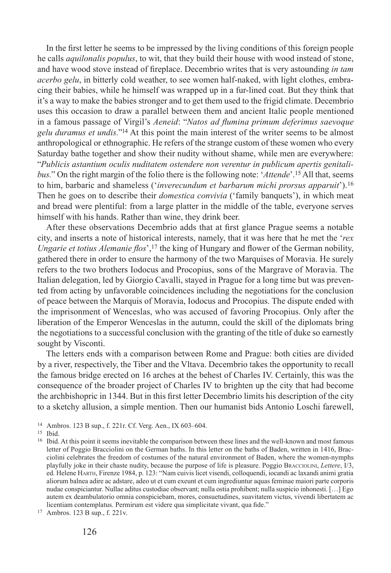In the first letter he seems to be impressed by the living conditions of this foreign people he calls *aquilonalis populus*, to wit, that they build their house with wood instead of stone, and have wood stove instead of fireplace. Decembrio writes that is very astounding *in tam acerbo gelu*, in bitterly cold weather, to see women half-naked, with light clothes, embracing their babies, while he himself was wrapped up in a fur-lined coat. But they think that it's a way to make the babies stronger and to get them used to the frigid climate. Decembrio uses this occasion to draw a parallel between them and ancient Italic people mentioned in a famous passage of Virgil's *Aeneid*: "*Natos ad flumina primum deferimus saevoque gelu duramus et undis.*"14 At this point the main interest of the writer seems to be almost anthropological or ethnographic. He refers of the strange custom of these women who every Saturday bathe together and show their nudity without shame, while men are everywhere: "*Publicis astantium oculis nuditatem ostendere non verentur in publicum apertis genitalibus.*" On the right margin of the folio there is the following note: '*Attende*'.15 All that, seems to him, barbaric and shameless ('*inverecundum et barbarum michi prorsus apparuit*').16 Then he goes on to describe their *domestica convivia* ('family banquets'), in which meat and bread were plentiful: from a large platter in the middle of the table, everyone serves himself with his hands. Rather than wine, they drink beer.

After these observations Decembrio adds that at first glance Prague seems a notable city, and inserts a note of historical interests, namely, that it was here that he met the '*rex Ungarie et totius Alemanie flos*',17 the king of Hungary and flower of the German nobility, gathered there in order to ensure the harmony of the two Marquises of Moravia. He surely refers to the two brothers Iodocus and Procopius, sons of the Margrave of Moravia. The Italian delegation, led by Giorgio Cavalli, stayed in Prague for a long time but was prevented from acting by unfavorable coincidences including the negotiations for the conclusion of peace between the Marquis of Moravia, Iodocus and Procopius. The dispute ended with the imprisonment of Wenceslas, who was accused of favoring Procopius. Only after the liberation of the Emperor Wenceslas in the autumn, could the skill of the diplomats bring the negotiations to a successful conclusion with the granting of the title of duke so earnestly sought by Visconti.

The letters ends with a comparison between Rome and Prague: both cities are divided by a river, respectively, the Tiber and the Vltava. Decembrio takes the opportunity to recall the famous bridge erected on 16 arches at the behest of Charles IV. Certainly, this was the consequence of the broader project of Charles IV to brighten up the city that had become the archbishopric in 1344. But in this first letter Decembrio limits his description of the city to a sketchy allusion, a simple mention. Then our humanist bids Antonio Loschi farewell,

<sup>14</sup> Ambros. 123 B sup., f. 221r. Cf. Verg. Aen., IX 603–604.

<sup>15</sup> Ibid.

<sup>&</sup>lt;sup>16</sup> Ibid. At this point it seems inevitable the comparison between these lines and the well-known and most famous letter of Poggio Bracciolini on the German baths. In this letter on the baths of Baden, written in 1416, Bracciolini celebrates the freedom of costumes of the natural environment of Baden, where the women-nymphs playfully joke in their chaste nudity, because the purpose of life is pleasure. Poggio Bracciolini, *Lettere*, I/3, ed. Helene Harth, Firenze 1984, p. 123: "Nam cuivis licet visendi, colloquendi, iocandi ac laxandi animi gratia aliorum balnea adire ac adstare, adeo ut et cum exeunt et cum ingrediuntur aquas feminae maiori parte corporis nudae conspiciantur. Nullae aditus custodiae observant; nulla ostia prohibent; nulla suspicio inhonesti. […] Ego autem ex deambulatorio omnia conspiciebam, mores, consuetudines, suavitatem victus, vivendi libertatem ac licentiam contemplatus. Permirum est videre qua simplicitate vivant, qua fide."

<sup>17</sup> Ambros. 123 B sup., f. 221v.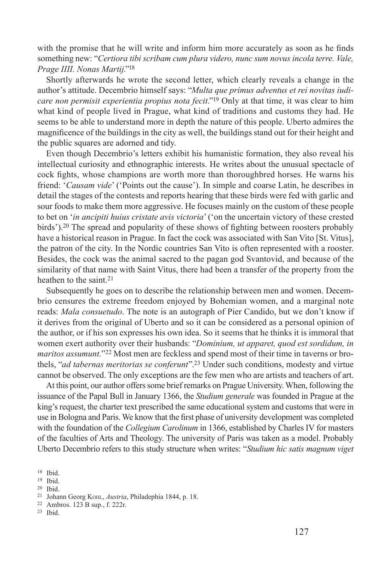with the promise that he will write and inform him more accurately as soon as he finds something new: "*Certiora tibi scribam cum plura videro, nunc sum novus incola terre. Vale, Prage IIII. Nonas Martij*."18

Shortly afterwards he wrote the second letter, which clearly reveals a change in the author's attitude. Decembrio himself says: "*Multa que primus adventus et rei novitas iudicare non permisit experientia propius nota fecit*."19 Only at that time, it was clear to him what kind of people lived in Prague, what kind of traditions and customs they had. He seems to be able to understand more in depth the nature of this people. Uberto admires the magnificence of the buildings in the city as well, the buildings stand out for their height and the public squares are adorned and tidy.

Even though Decembrio's letters exhibit his humanistic formation, they also reveal his intellectual curiosity and ethnographic interests. He writes about the unusual spectacle of cock fights, whose champions are worth more than thoroughbred horses. He warns his friend: '*Causam vide*' ('Points out the cause'). In simple and coarse Latin, he describes in detail the stages of the contests and reports hearing that these birds were fed with garlic and sour foods to make them more aggressive. He focuses mainly on the custom of these people to bet on '*in ancipiti huius cristate avis victoria*' ('on the uncertain victory of these crested birds').20 The spread and popularity of these shows of fighting between roosters probably have a historical reason in Prague. In fact the cock was associated with San Vito [St. Vitus], the patron of the city. In the Nordic countries San Vito is often represented with a rooster. Besides, the cock was the animal sacred to the pagan god Svantovid, and because of the similarity of that name with Saint Vitus, there had been a transfer of the property from the heathen to the saint.<sup>21</sup>

Subsequently he goes on to describe the relationship between men and women. Decembrio censures the extreme freedom enjoyed by Bohemian women, and a marginal note reads: *Mala consuetudo*. The note is an autograph of Pier Candido, but we don't know if it derives from the original of Uberto and so it can be considered as a personal opinion of the author, or if his son expresses his own idea. So it seems that he thinks it is immoral that women exert authority over their husbands: "*Dominium, ut apparet, quod est sordidum, in maritos assumunt.*"22 Most men are feckless and spend most of their time in taverns or brothels, "*ad tabernas meritorias se conferunt*".23 Under such conditions, modesty and virtue cannot be observed. The only exceptions are the few men who are artists and teachers of art.

At this point, our author offers some brief remarks on Prague University. When, following the issuance of the Papal Bull in January 1366, the *Studium generale* was founded in Prague at the king's request, the charter text prescribed the same educational system and customs that were in use in Bologna and Paris. We know that the first phase of university development was completed with the foundation of the *Collegium Carolinum* in 1366, established by Charles IV for masters of the faculties of Arts and Theology. The university of Paris was taken as a model. Probably Uberto Decembrio refers to this study structure when writes: "*Studium hic satis magnum viget* 

<sup>19</sup> Ibid.

<sup>18</sup> Ibid.

<sup>20</sup> Ibid.

<sup>21</sup> Johann Georg Kohl, *Austria*, Philadephia 1844, p. 18.

<sup>22</sup> Ambros. 123 B sup., f. 222r.

<sup>23</sup> Ibid.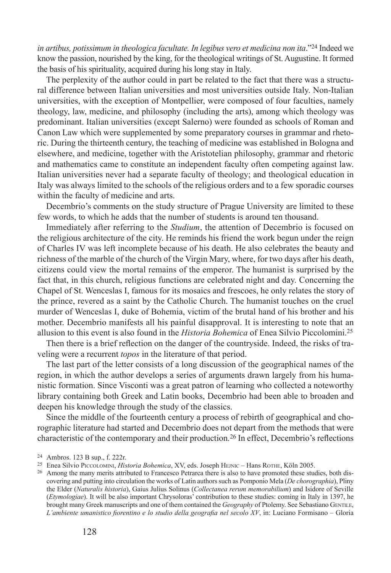in artibus, potissimum in theologica facultate. In legibus vero et medicina non ita."<sup>24</sup> Indeed we know the passion, nourished by the king, for the theological writings of St. Augustine. It formed the basis of his spirituality, acquired during his long stay in Italy.

The perplexity of the author could in part be related to the fact that there was a structural difference between Italian universities and most universities outside Italy. Non-Italian universities, with the exception of Montpellier, were composed of four faculties, namely theology, law, medicine, and philosophy (including the arts), among which theology was predominant. Italian universities (except Salerno) were founded as schools of Roman and Canon Law which were supplemented by some preparatory courses in grammar and rhetoric. During the thirteenth century, the teaching of medicine was established in Bologna and elsewhere, and medicine, together with the Aristotelian philosophy, grammar and rhetoric and mathematics came to constitute an independent faculty often competing against law. Italian universities never had a separate faculty of theology; and theological education in Italy was always limited to the schools of the religious orders and to a few sporadic courses within the faculty of medicine and arts.

Decembrio's comments on the study structure of Prague University are limited to these few words, to which he adds that the number of students is around ten thousand.

Immediately after referring to the *Studium*, the attention of Decembrio is focused on the religious architecture of the city. He reminds his friend the work begun under the reign of Charles IV was left incomplete because of his death. He also celebrates the beauty and richness of the marble of the church of the Virgin Mary, where, for two days after his death, citizens could view the mortal remains of the emperor. The humanist is surprised by the fact that, in this church, religious functions are celebrated night and day. Concerning the Chapel of St. Wenceslas I, famous for its mosaics and frescoes, he only relates the story of the prince, revered as a saint by the Catholic Church. The humanist touches on the cruel murder of Wenceslas I, duke of Bohemia, victim of the brutal hand of his brother and his mother. Decembrio manifests all his painful disapproval. It is interesting to note that an allusion to this event is also found in the *Historia Bohemica* of Enea Silvio Piccolomini.25

Then there is a brief reflection on the danger of the countryside. Indeed, the risks of traveling were a recurrent *topos* in the literature of that period.

The last part of the letter consists of a long discussion of the geographical names of the region, in which the author develops a series of arguments drawn largely from his humanistic formation. Since Visconti was a great patron of learning who collected a noteworthy library containing both Greek and Latin books, Decembrio had been able to broaden and deepen his knowledge through the study of the classics.

Since the middle of the fourteenth century a process of rebirth of geographical and chorographic literature had started and Decembrio does not depart from the methods that were characteristic of the contemporary and their production.26 In effect, Decembrio's reflections

<sup>24</sup> Ambros. 123 B sup., f. 222r.

<sup>&</sup>lt;sup>25</sup> Enea Silvio Piccolomini, *Historia Bohemica*, XV, eds. Joseph HEJNIC – Hans ROTHE, Köln 2005.

<sup>&</sup>lt;sup>26</sup> Among the many merits attributed to Francesco Petrarca there is also to have promoted these studies, both discovering and putting into circulation the works of Latin authors such as Pomponio Mela (*De chorographia*), Pliny the Elder (*Naturalis historia*), Gaius Julius Solinus (*Collectanea rerum memorabilium*) and Isidore of Seville (*Etymologiae*). It will be also important Chrysoloras' contribution to these studies: coming in Italy in 1397, he brought many Greek manuscripts and one of them contained the *Geography* of Ptolemy. See Sebastiano GENTILE, *L'ambiente umanistico fiorentino e lo studio della geografia nel secolo XV*, in: Luciano Formisano – Gloria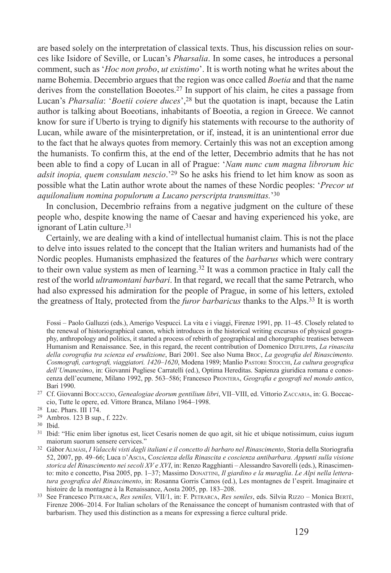are based solely on the interpretation of classical texts. Thus, his discussion relies on sources like Isidore of Seville, or Lucan's *Pharsalia*. In some cases, he introduces a personal comment, such as '*Hoc non probo*, *ut existimo*'. It is worth noting what he writes about the name Bohemia. Decembrio argues that the region was once called *Boetia* and that the name derives from the constellation Boeotes.<sup>27</sup> In support of his claim, he cites a passage from Lucan's *Pharsalia*: '*Boetii coiere duces*',28 but the quotation is inapt, because the Latin author is talking about Boeotians, inhabitants of Boeotia, a region in Greece. We cannot know for sure if Uberto is trying to dignify his statements with recourse to the authority of Lucan, while aware of the misinterpretation, or if, instead, it is an unintentional error due to the fact that he always quotes from memory. Certainly this was not an exception among the humanists. To confirm this, at the end of the letter, Decembrio admits that he has not been able to find a copy of Lucan in all of Prague: '*Nam nunc cum magna librorum hic adsit inopia, quem consulam nescio*.'29 So he asks his friend to let him know as soon as possible what the Latin author wrote about the names of these Nordic peoples: '*Precor ut aquilonalium nomina populorum a Lucano perscripta transmittas.*'30

In conclusion, Decembrio refrains from a negative judgment on the culture of these people who, despite knowing the name of Caesar and having experienced his yoke, are ignorant of Latin culture.31

Certainly, we are dealing with a kind of intellectual humanist claim. This is not the place to delve into issues related to the concept that the Italian writers and humanists had of the Nordic peoples. Humanists emphasized the features of the *barbarus* which were contrary to their own value system as men of learning.32 It was a common practice in Italy call the rest of the world *ultramontani barbari*. In that regard, we recall that the same Petrarch, who had also expressed his admiration for the people of Prague, in some of his letters, extoled the greatness of Italy, protected from the *furor barbaricus* thanks to the Alps.33 It is worth

Fossi – Paolo Galluzzi (eds.), Amerigo Vespucci. La vita e i viaggi, Firenze 1991, pp. 11–45. Closely related to the renewal of historiographical canon, which introduces in the historical writing excursus of physical geography, anthropology and politics, it started a process of rebirth of geographical and chorographic treatises between Humanism and Renaissance. See, in this regard, the recent contribution of Domenico Defilippis, *La rinascita della corografia tra scienza ed erudizione*, Bari 2001. See also Numa Broc, *La geografia del Rinascimento. Cosmografi, cartografi, viaggiatori. 1420–1620*, Modena 1989; Manlio Pastore Stocchi, *La cultura geografica dell'Umanesimo*, in: Giovanni Pugliese Carratelli (ed.), Optima Hereditas. Sapienza giuridica romana e conoscenza dell'ecumene, Milano 1992, pp. 563–586; Francesco Prontera, *Geografia e geografi nel mondo antico*, Bari 1990.

- <sup>27</sup> Cf. Giovanni Boccaccio, *Genealogiae deorum gentilium libri*, VII–VIII, ed. Vittorio Zaccaria, in: G. Boccaccio, Tutte le opere, ed. Vittore Branca, Milano 1964–1998.
- <sup>28</sup> Luc. Phars. III 174.
- <sup>29</sup> Ambros. 123 B sup., f. 222v*.*
- <sup>30</sup> Ibid.
- <sup>31</sup> Ibid: "Hic enim liber ignotus est, licet Cesaris nomen de quo agit, sit hic et ubique notissimum, cuius iugum maiorum suorum sensere cervices."
- <sup>32</sup> Gábor Almási, *I Valacchi visti dagli italiani e il concetto di barbaro nel Rinascimento*, Storia della Storiografia 52, 2007, pp. 49–66; Luca p'Ascia, Coscienza della Rinascita e coscienza antibarbara. Appunti sulla visione *storica del Rinascimento nei secoli XV e XVI*, in: Renzo Ragghianti – Alessandro Savorelli (eds.), Rinascimento: mito e concetto, Pisa 2005, pp. 1–37; Massimo Donattini, *Il giardino e la muraglia*. *Le Alpi nella letteratura geografica del Rinascimento*, in: Rosanna Gorris Camos (ed.), Les montagnes de l'esprit. Imaginaire et histoire de la montagne à la Renaissance, Aosta 2005, pp. 183–208.
- <sup>33</sup> See Francesco Petrarca, *Res seniles,* VII/1, in: F. Petrarca, *Res seniles*, eds. Silvia Rizzo Monica Bertè, Firenze 2006–2014. For Italian scholars of the Renaissance the concept of humanism contrasted with that of barbarism. They used this distinction as a means for expressing a fierce cultural pride.